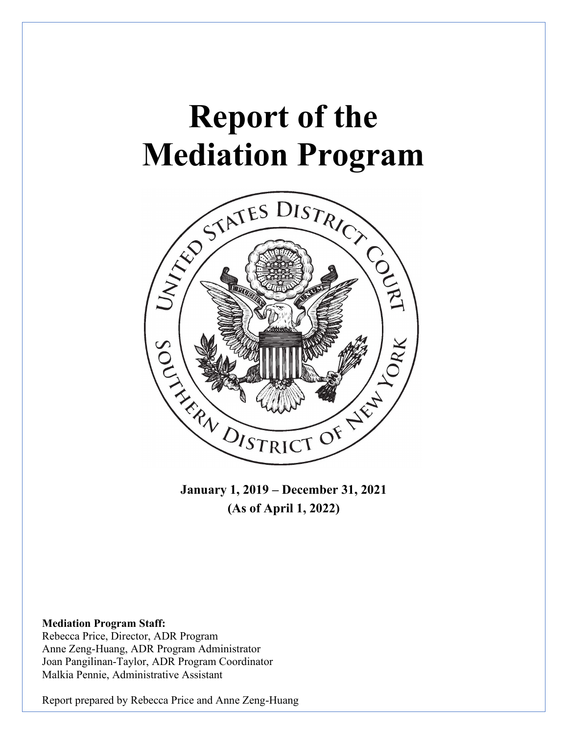# **Report of the Mediation Program**



**January 1, 2019 – December 31, 2021 (As of April 1, 2022)**

#### **Mediation Program Staff:**

Rebecca Price, Director, ADR Program Anne Zeng-Huang, ADR Program Administrator Joan Pangilinan-Taylor, ADR Program Coordinator Malkia Pennie, Administrative Assistant

Report prepared by Rebecca Price and Anne Zeng-Huang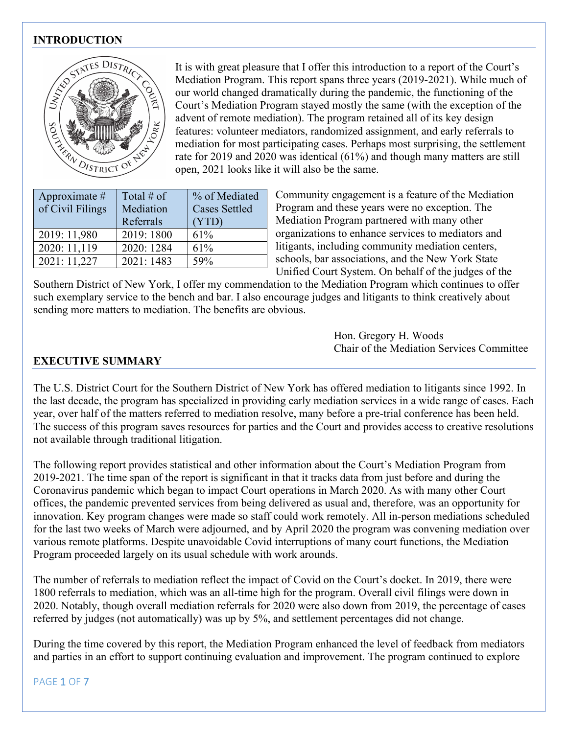#### **INTRODUCTION**



It is with great pleasure that I offer this introduction to a report of the Court's Mediation Program. This report spans three years (2019-2021). While much of our world changed dramatically during the pandemic, the functioning of the Court's Mediation Program stayed mostly the same (with the exception of the advent of remote mediation). The program retained all of its key design features: volunteer mediators, randomized assignment, and early referrals to mediation for most participating cases. Perhaps most surprising, the settlement rate for 2019 and 2020 was identical (61%) and though many matters are still open, 2021 looks like it will also be the same.

| Approximate $#$<br>of Civil Filings | Total # of<br>Mediation<br>Referrals | % of Mediated<br><b>Cases Settled</b><br>(YTD) |
|-------------------------------------|--------------------------------------|------------------------------------------------|
| 2019: 11,980                        | 2019: 1800                           | 61%                                            |
| 2020: 11,119                        | 2020: 1284                           | 61%                                            |
| 2021: 11,227                        | 2021: 1483                           | 59%                                            |

Community engagement is a feature of the Mediation Program and these years were no exception. The Mediation Program partnered with many other organizations to enhance services to mediators and litigants, including community mediation centers, schools, bar associations, and the New York State Unified Court System. On behalf of the judges of the

Southern District of New York, I offer my commendation to the Mediation Program which continues to offer such exemplary service to the bench and bar. I also encourage judges and litigants to think creatively about sending more matters to mediation. The benefits are obvious.

> Hon. Gregory H. Woods Chair of the Mediation Services Committee

#### **EXECUTIVE SUMMARY**

The U.S. District Court for the Southern District of New York has offered mediation to litigants since 1992. In the last decade, the program has specialized in providing early mediation services in a wide range of cases. Each year, over half of the matters referred to mediation resolve, many before a pre-trial conference has been held. The success of this program saves resources for parties and the Court and provides access to creative resolutions not available through traditional litigation.

The following report provides statistical and other information about the Court's Mediation Program from 2019-2021. The time span of the report is significant in that it tracks data from just before and during the Coronavirus pandemic which began to impact Court operations in March 2020. As with many other Court offices, the pandemic prevented services from being delivered as usual and, therefore, was an opportunity for innovation. Key program changes were made so staff could work remotely. All in-person mediations scheduled for the last two weeks of March were adjourned, and by April 2020 the program was convening mediation over various remote platforms. Despite unavoidable Covid interruptions of many court functions, the Mediation Program proceeded largely on its usual schedule with work arounds.

The number of referrals to mediation reflect the impact of Covid on the Court's docket. In 2019, there were 1800 referrals to mediation, which was an all-time high for the program. Overall civil filings were down in 2020. Notably, though overall mediation referrals for 2020 were also down from 2019, the percentage of cases referred by judges (not automatically) was up by 5%, and settlement percentages did not change.

During the time covered by this report, the Mediation Program enhanced the level of feedback from mediators and parties in an effort to support continuing evaluation and improvement. The program continued to explore

PAGE 1 OF 7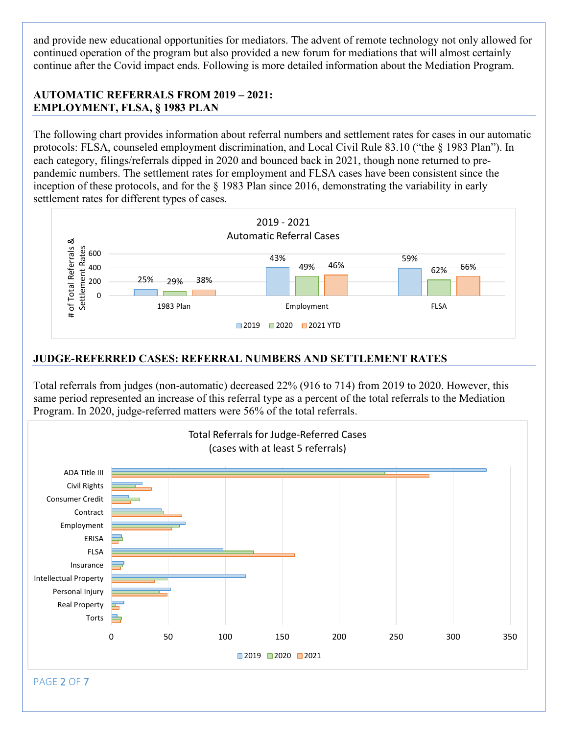and provide new educational opportunities for mediators. The advent of remote technology not only allowed for continued operation of the program but also provided a new forum for mediations that will almost certainly continue after the Covid impact ends. Following is more detailed information about the Mediation Program.

#### **AUTOMATIC REFERRALS FROM 2019 – 2021: EMPLOYMENT, FLSA, § 1983 PLAN**

The following chart provides information about referral numbers and settlement rates for cases in our automatic protocols: FLSA, counseled employment discrimination, and Local Civil Rule 83.10 ("the § 1983 Plan"). In each category, filings/referrals dipped in 2020 and bounced back in 2021, though none returned to prepandemic numbers. The settlement rates for employment and FLSA cases have been consistent since the inception of these protocols, and for the § 1983 Plan since 2016, demonstrating the variability in early settlement rates for different types of cases.



#### **JUDGE-REFERRED CASES: REFERRAL NUMBERS AND SETTLEMENT RATES**

Total referrals from judges (non-automatic) decreased 22% (916 to 714) from 2019 to 2020. However, this same period represented an increase of this referral type as a percent of the total referrals to the Mediation Program. In 2020, judge-referred matters were 56% of the total referrals.

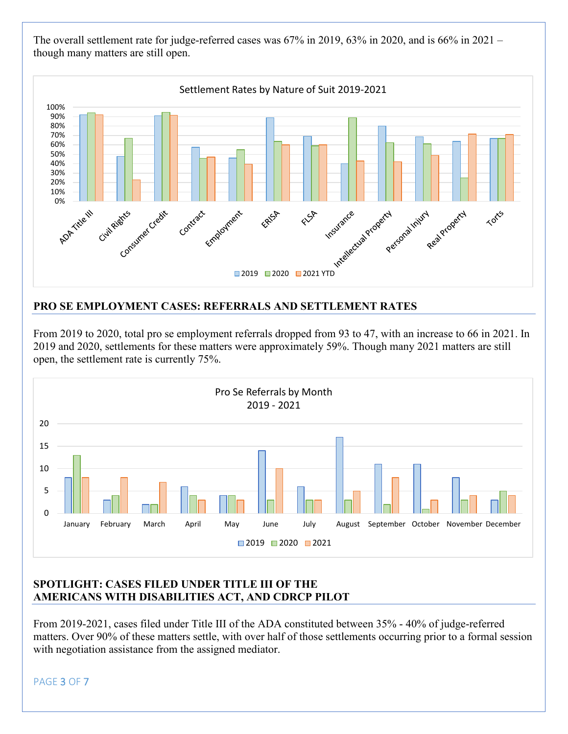The overall settlement rate for judge-referred cases was 67% in 2019, 63% in 2020, and is 66% in 2021 – though many matters are still open.



## **PRO SE EMPLOYMENT CASES: REFERRALS AND SETTLEMENT RATES**

From 2019 to 2020, total pro se employment referrals dropped from 93 to 47, with an increase to 66 in 2021. In 2019 and 2020, settlements for these matters were approximately 59%. Though many 2021 matters are still open, the settlement rate is currently 75%.



#### **SPOTLIGHT: CASES FILED UNDER TITLE III OF THE AMERICANS WITH DISABILITIES ACT, AND CDRCP PILOT**

From 2019-2021, cases filed under Title III of the ADA constituted between 35% - 40% of judge-referred matters. Over 90% of these matters settle, with over half of those settlements occurring prior to a formal session with negotiation assistance from the assigned mediator.

PAGE 3 OF 7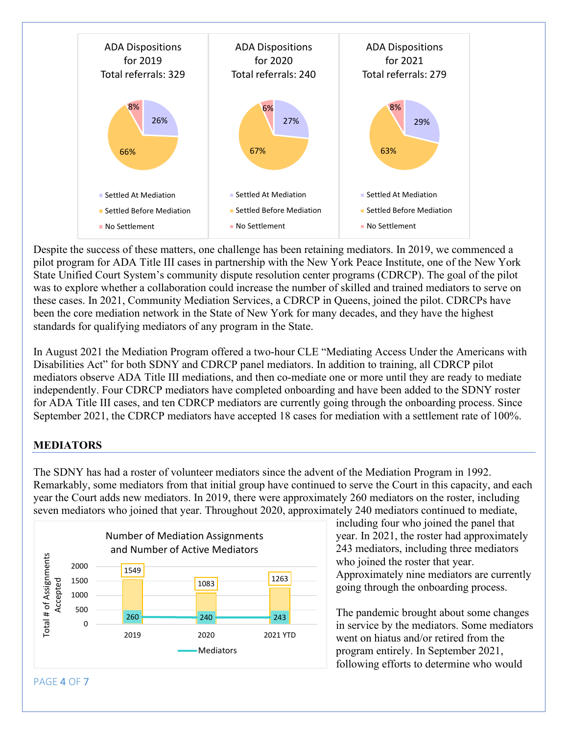

Despite the success of these matters, one challenge has been retaining mediators. In 2019, we commenced a pilot program for ADA Title III cases in partnership with the New York Peace Institute, one of the New York State Unified Court System's community dispute resolution center programs (CDRCP). The goal of the pilot was to explore whether a collaboration could increase the number of skilled and trained mediators to serve on these cases. In 2021, Community Mediation Services, a CDRCP in Queens, joined the pilot. CDRCPs have been the core mediation network in the State of New York for many decades, and they have the highest standards for qualifying mediators of any program in the State.

In August 2021 the Mediation Program offered a two-hour CLE "Mediating Access Under the Americans with Disabilities Act" for both SDNY and CDRCP panel mediators. In addition to training, all CDRCP pilot mediators observe ADA Title III mediations, and then co-mediate one or more until they are ready to mediate independently. Four CDRCP mediators have completed onboarding and have been added to the SDNY roster for ADA Title III cases, and ten CDRCP mediators are currently going through the onboarding process. Since September 2021, the CDRCP mediators have accepted 18 cases for mediation with a settlement rate of 100%.

## **MEDIATORS**

The SDNY has had a roster of volunteer mediators since the advent of the Mediation Program in 1992. Remarkably, some mediators from that initial group have continued to serve the Court in this capacity, and each year the Court adds new mediators. In 2019, there were approximately 260 mediators on the roster, including seven mediators who joined that year. Throughout 2020, approximately 240 mediators continued to mediate,



including four who joined the panel that year. In 2021, the roster had approximately 243 mediators, including three mediators who joined the roster that year. Approximately nine mediators are currently going through the onboarding process.

The pandemic brought about some changes in service by the mediators. Some mediators went on hiatus and/or retired from the program entirely. In September 2021, following efforts to determine who would

PAGE 4 OF 7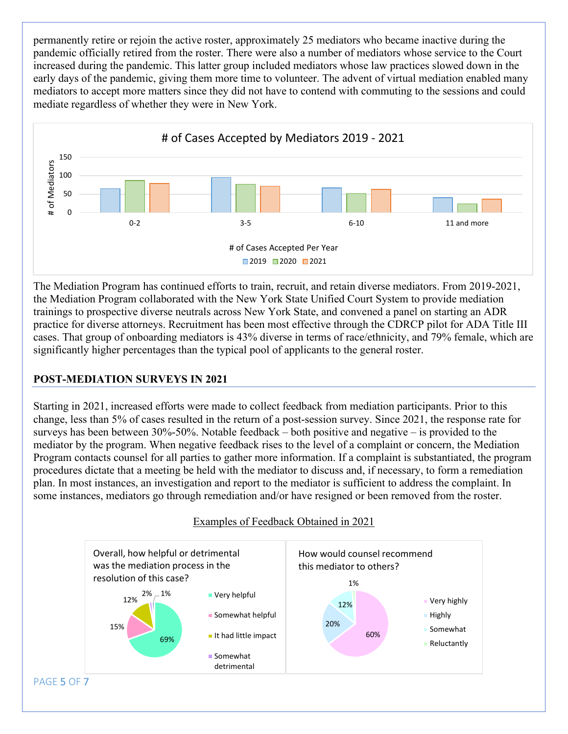permanently retire or rejoin the active roster, approximately 25 mediators who became inactive during the pandemic officially retired from the roster. There were also a number of mediators whose service to the Court increased during the pandemic. This latter group included mediators whose law practices slowed down in the early days of the pandemic, giving them more time to volunteer. The advent of virtual mediation enabled many mediators to accept more matters since they did not have to contend with commuting to the sessions and could mediate regardless of whether they were in New York.



The Mediation Program has continued efforts to train, recruit, and retain diverse mediators. From 2019-2021, the Mediation Program collaborated with the New York State Unified Court System to provide mediation trainings to prospective diverse neutrals across New York State, and convened a panel on starting an ADR practice for diverse attorneys. Recruitment has been most effective through the CDRCP pilot for ADA Title III cases. That group of onboarding mediators is 43% diverse in terms of race/ethnicity, and 79% female, which are significantly higher percentages than the typical pool of applicants to the general roster.

## **POST-MEDIATION SURVEYS IN 2021**

Starting in 2021, increased efforts were made to collect feedback from mediation participants. Prior to this change, less than 5% of cases resulted in the return of a post-session survey. Since 2021, the response rate for surveys has been between 30%-50%. Notable feedback – both positive and negative – is provided to the mediator by the program. When negative feedback rises to the level of a complaint or concern, the Mediation Program contacts counsel for all parties to gather more information. If a complaint is substantiated, the program procedures dictate that a meeting be held with the mediator to discuss and, if necessary, to form a remediation plan. In most instances, an investigation and report to the mediator is sufficient to address the complaint. In some instances, mediators go through remediation and/or have resigned or been removed from the roster.

Examples of Feedback Obtained in 2021

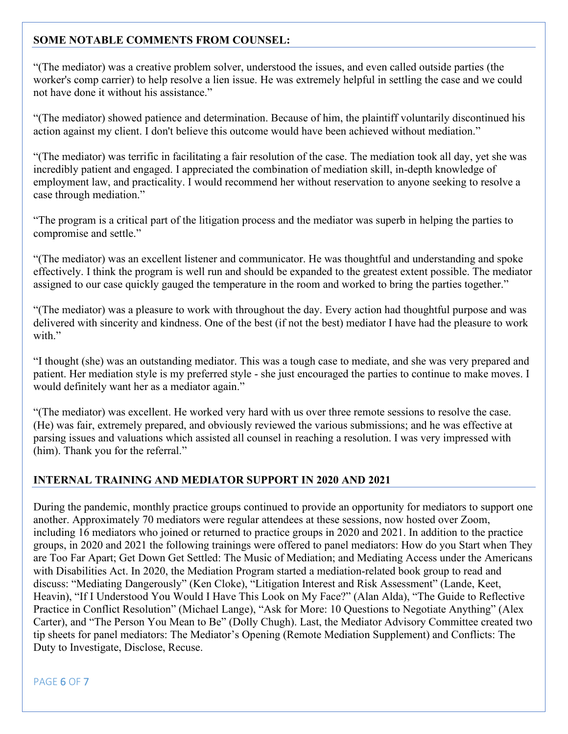## **SOME NOTABLE COMMENTS FROM COUNSEL:**

"(The mediator) was a creative problem solver, understood the issues, and even called outside parties (the worker's comp carrier) to help resolve a lien issue. He was extremely helpful in settling the case and we could not have done it without his assistance."

"(The mediator) showed patience and determination. Because of him, the plaintiff voluntarily discontinued his action against my client. I don't believe this outcome would have been achieved without mediation."

"(The mediator) was terrific in facilitating a fair resolution of the case. The mediation took all day, yet she was incredibly patient and engaged. I appreciated the combination of mediation skill, in-depth knowledge of employment law, and practicality. I would recommend her without reservation to anyone seeking to resolve a case through mediation."

"The program is a critical part of the litigation process and the mediator was superb in helping the parties to compromise and settle."

"(The mediator) was an excellent listener and communicator. He was thoughtful and understanding and spoke effectively. I think the program is well run and should be expanded to the greatest extent possible. The mediator assigned to our case quickly gauged the temperature in the room and worked to bring the parties together."

"(The mediator) was a pleasure to work with throughout the day. Every action had thoughtful purpose and was delivered with sincerity and kindness. One of the best (if not the best) mediator I have had the pleasure to work with."

"I thought (she) was an outstanding mediator. This was a tough case to mediate, and she was very prepared and patient. Her mediation style is my preferred style - she just encouraged the parties to continue to make moves. I would definitely want her as a mediator again."

"(The mediator) was excellent. He worked very hard with us over three remote sessions to resolve the case. (He) was fair, extremely prepared, and obviously reviewed the various submissions; and he was effective at parsing issues and valuations which assisted all counsel in reaching a resolution. I was very impressed with (him). Thank you for the referral."

#### **INTERNAL TRAINING AND MEDIATOR SUPPORT IN 2020 AND 2021**

During the pandemic, monthly practice groups continued to provide an opportunity for mediators to support one another. Approximately 70 mediators were regular attendees at these sessions, now hosted over Zoom, including 16 mediators who joined or returned to practice groups in 2020 and 2021. In addition to the practice groups, in 2020 and 2021 the following trainings were offered to panel mediators: How do you Start when They are Too Far Apart; Get Down Get Settled: The Music of Mediation; and Mediating Access under the Americans with Disabilities Act. In 2020, the Mediation Program started a mediation-related book group to read and discuss: "Mediating Dangerously" (Ken Cloke), "Litigation Interest and Risk Assessment" (Lande, Keet, Heavin), "If I Understood You Would I Have This Look on My Face?" (Alan Alda), "The Guide to Reflective Practice in Conflict Resolution" (Michael Lange), "Ask for More: 10 Questions to Negotiate Anything" (Alex Carter), and "The Person You Mean to Be" (Dolly Chugh). Last, the Mediator Advisory Committee created two tip sheets for panel mediators: The Mediator's Opening (Remote Mediation Supplement) and Conflicts: The Duty to Investigate, Disclose, Recuse.

PAGE 6 OF 7